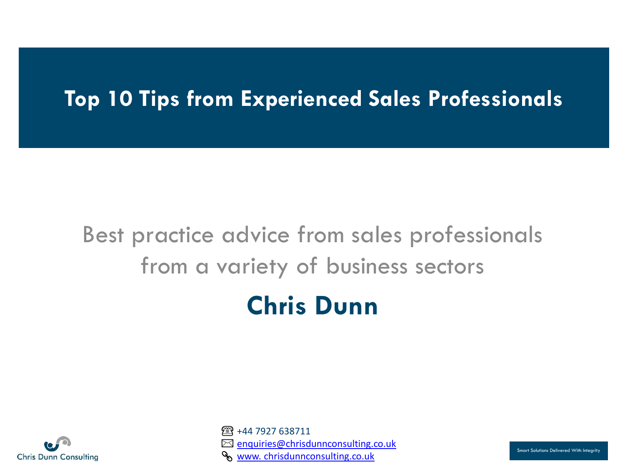## **Top 10 Tips from Experienced Sales Professionals**

# Best practice advice from sales professionals from a variety of business sectors **Chris Dunn**



☎+44 7927 638711  $⊠$  [enquiries@chrisdunnconsulting.co.uk](mailto:enquiries@chrisdunnconsulting.co.uk) [www. chrisdunnconsulting.co.uk](https://www.chrisdunnconsulting.co.uk/)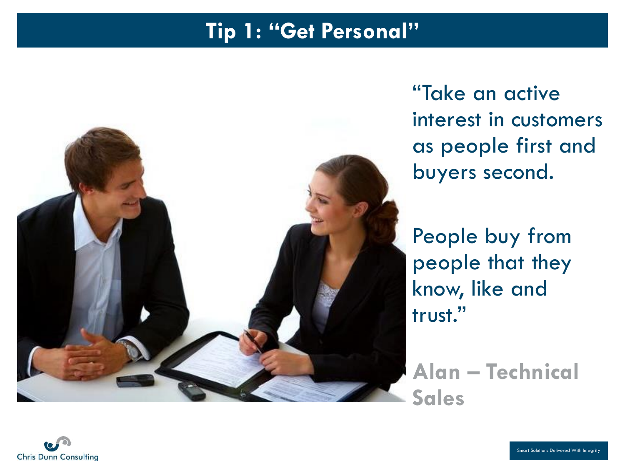#### **Tip 1: "Get Personal"**



"Take an active interest in customers as people first and buyers second.

People buy from people that they know, like and trust."

**Alan – Technical Sales**

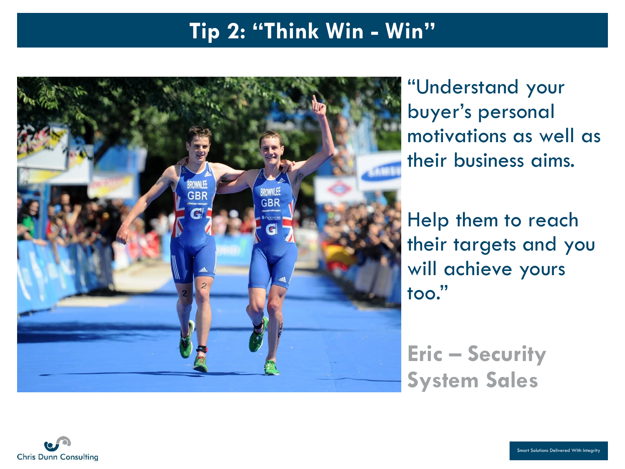#### **Tip 2: "Think Win - Win"**



"Understand your buyer's personal motivations as well as their business aims.

Help them to reach their targets and you will achieve yours too."

**Eric – Security System Sales**

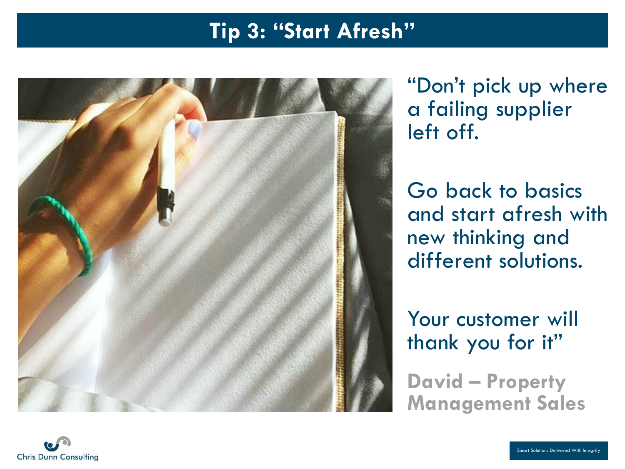#### **Tip 3: "Start Afresh"**



"Don't pick up where a failing supplier left off.

Go back to basics and start afresh with new thinking and different solutions.

Your customer will thank you for it"

**David – Property Management Sales**

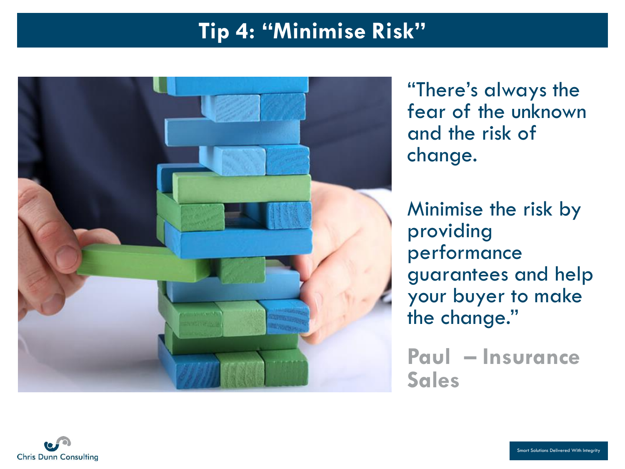## **Tip 4: "Minimise Risk"**



"There's always the fear of the unknown and the risk of change.

Minimise the risk by providing performance guarantees and help your buyer to make the change."

**Paul – Insurance Sales**

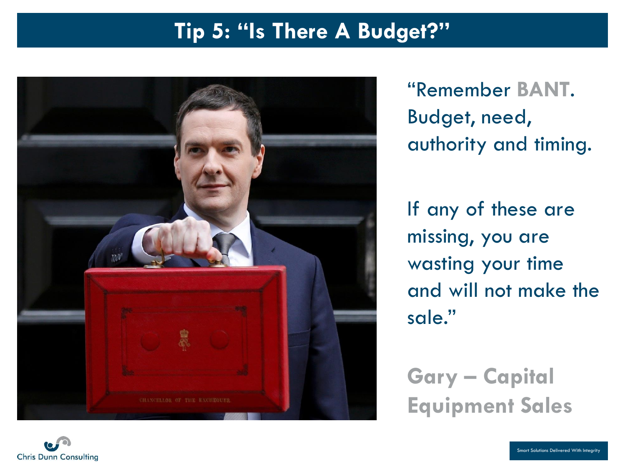#### **Tip 5: "Is There A Budget?"**



"Remember **BANT**. Budget, need, authority and timing.

If any of these are missing, you are wasting your time and will not make the sale."

**Gary – Capital Equipment Sales**

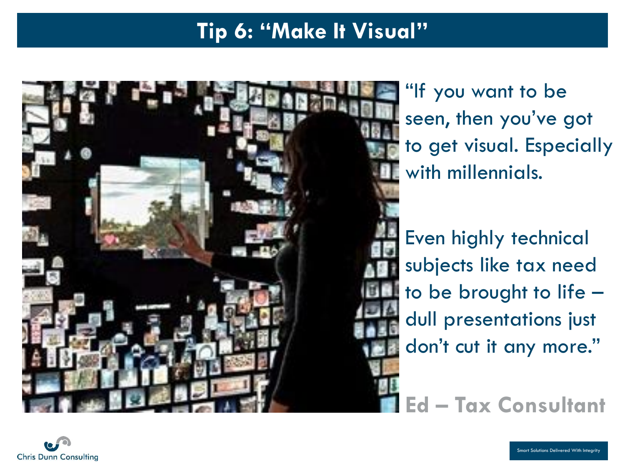## **Tip 6: "Make It Visual"**



"If you want to be seen, then you've got to get visual. Especially with millennials.

Even highly technical subjects like tax need to be brought to life – dull presentations just don't cut it any more."

**Ed – Tax Consultant**

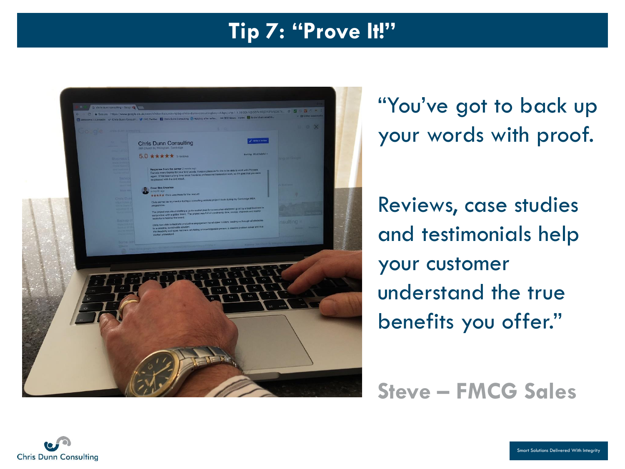#### **Tip 7: "Prove It!"**



"You've got to back up your words with proof.

Reviews, case studies and testimonials help your customer understand the true benefits you offer."

#### **Steve – FMCG Sales**

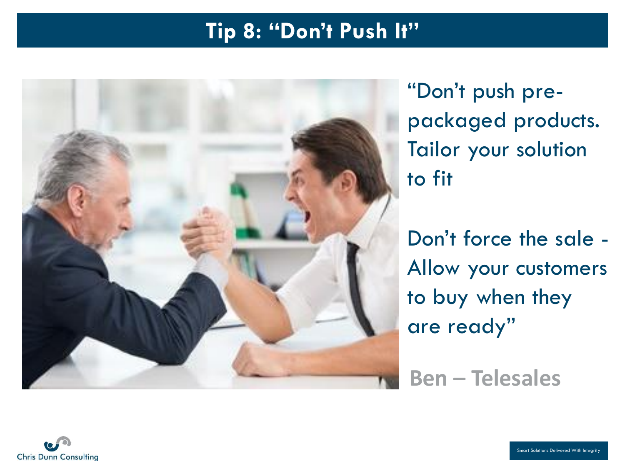#### **Tip 8: "Don't Push It"**



"Don't push prepackaged products. Tailor your solution to fit

Don't force the sale - Allow your customers to buy when they are ready"

**Ben – Telesales**

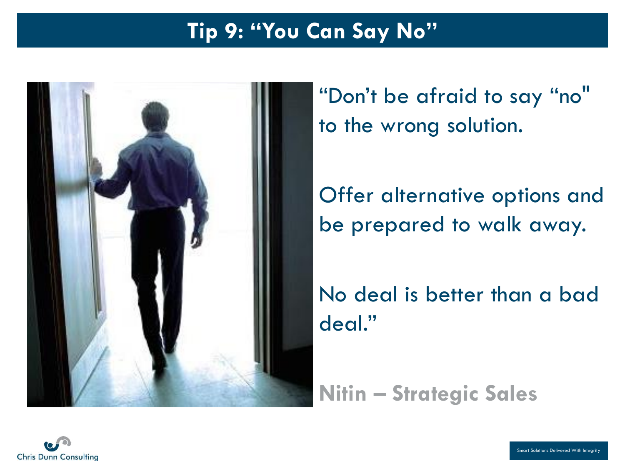## **Tip 9: "You Can Say No"**



"Don't be afraid to say "no" to the wrong solution.

Offer alternative options and be prepared to walk away.

No deal is better than a bad deal."

**Nitin – Strategic Sales**

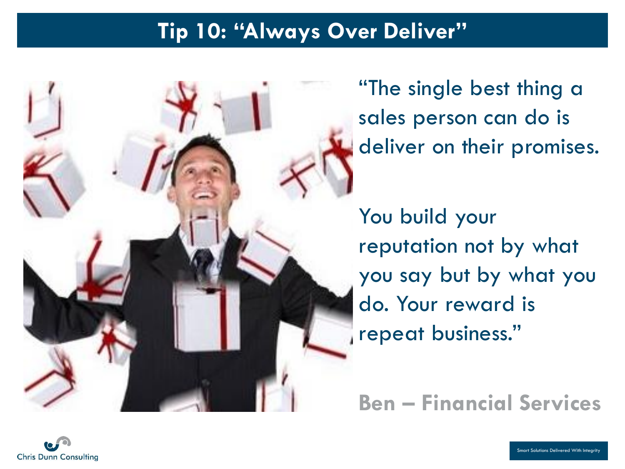#### **Tip 10: "Always Over Deliver"**



"The single best thing a sales person can do is deliver on their promises.

You build your reputation not by what you say but by what you do. Your reward is repeat business."

**Ben – Financial Services**

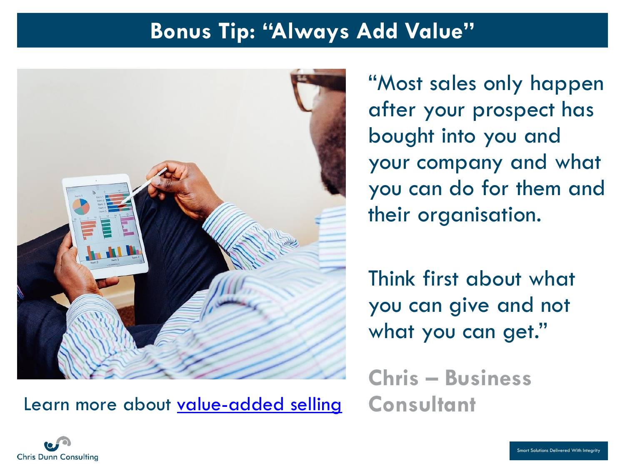#### **Bonus Tip: "Always Add Value"**



"Most sales only happen after your prospect has bought into you and your company and what you can do for them and their organisation.

Think first about what you can give and not what you can get."

**Chris – Business**  Learn more about [value-added selling](http://bit.ly/2nfutx5) **Consultant**